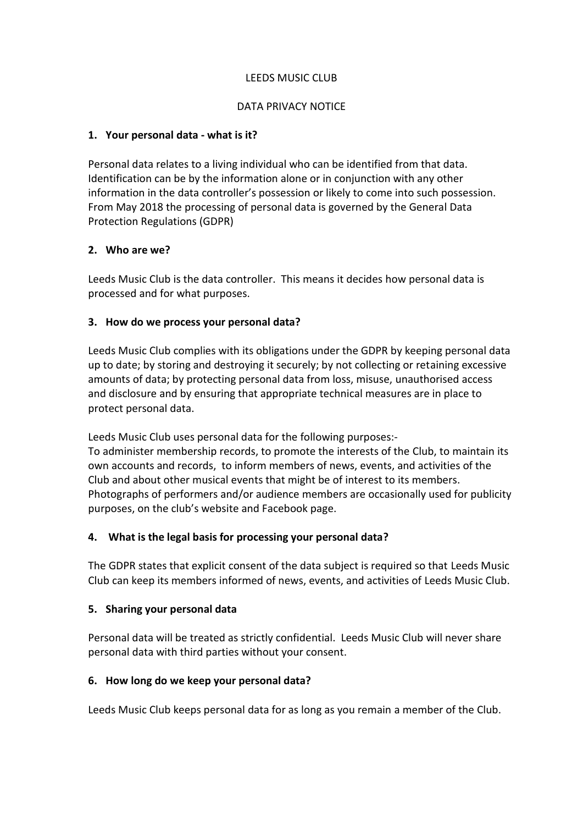#### LEEDS MUSIC CLUB

#### DATA PRIVACY NOTICE

#### **1. Your personal data - what is it?**

Personal data relates to a living individual who can be identified from that data. Identification can be by the information alone or in conjunction with any other information in the data controller's possession or likely to come into such possession. From May 2018 the processing of personal data is governed by the General Data Protection Regulations (GDPR)

## **2. Who are we?**

Leeds Music Club is the data controller. This means it decides how personal data is processed and for what purposes.

## **3. How do we process your personal data?**

Leeds Music Club complies with its obligations under the GDPR by keeping personal data up to date; by storing and destroying it securely; by not collecting or retaining excessive amounts of data; by protecting personal data from loss, misuse, unauthorised access and disclosure and by ensuring that appropriate technical measures are in place to protect personal data.

Leeds Music Club uses personal data for the following purposes:- To administer membership records, to promote the interests of the Club, to maintain its own accounts and records, to inform members of news, events, and activities of the Club and about other musical events that might be of interest to its members. Photographs of performers and/or audience members are occasionally used for publicity purposes, on the club's website and Facebook page.

## **4. What is the legal basis for processing your personal data?**

The GDPR states that explicit consent of the data subject is required so that Leeds Music Club can keep its members informed of news, events, and activities of Leeds Music Club.

## **5. Sharing your personal data**

Personal data will be treated as strictly confidential. Leeds Music Club will never share personal data with third parties without your consent.

## **6. How long do we keep your personal data?**

Leeds Music Club keeps personal data for as long as you remain a member of the Club.